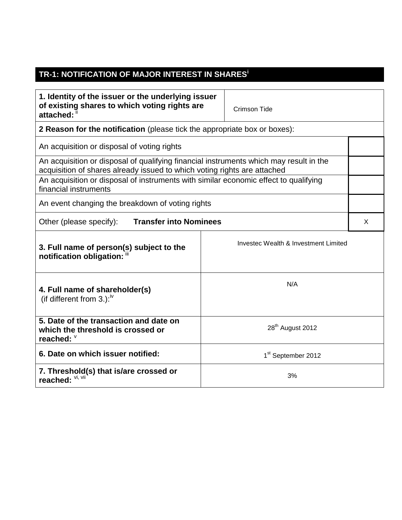## **TR-1: NOTIFICATION OF MAJOR INTEREST IN SHARES<sup>i</sup>**

| 1. Identity of the issuer or the underlying issuer<br>of existing shares to which voting rights are<br>attached:                                                   | Crimson Tide                         |  |  |  |
|--------------------------------------------------------------------------------------------------------------------------------------------------------------------|--------------------------------------|--|--|--|
| 2 Reason for the notification (please tick the appropriate box or boxes):                                                                                          |                                      |  |  |  |
| An acquisition or disposal of voting rights                                                                                                                        |                                      |  |  |  |
| An acquisition or disposal of qualifying financial instruments which may result in the<br>acquisition of shares already issued to which voting rights are attached |                                      |  |  |  |
| An acquisition or disposal of instruments with similar economic effect to qualifying<br>financial instruments                                                      |                                      |  |  |  |
| An event changing the breakdown of voting rights                                                                                                                   |                                      |  |  |  |
| <b>Transfer into Nominees</b><br>Other (please specify):                                                                                                           |                                      |  |  |  |
| 3. Full name of person(s) subject to the<br>notification obligation: "                                                                                             | Investec Wealth & Investment Limited |  |  |  |
| N/A<br>4. Full name of shareholder(s)<br>(if different from 3.): $\mu$                                                                                             |                                      |  |  |  |
| 5. Date of the transaction and date on<br>which the threshold is crossed or<br>reached: V                                                                          | 28 <sup>th</sup> August 2012         |  |  |  |
| 6. Date on which issuer notified:                                                                                                                                  | 1 <sup>st</sup> September 2012       |  |  |  |
| 7. Threshold(s) that is/are crossed or<br>reached: VI, VII                                                                                                         | 3%                                   |  |  |  |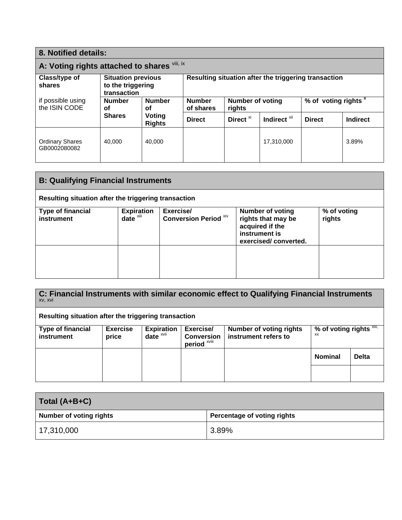| 8. Notified details:                                                                                                         |                                                               |                                                                      |                                                      |               |                 |  |       |
|------------------------------------------------------------------------------------------------------------------------------|---------------------------------------------------------------|----------------------------------------------------------------------|------------------------------------------------------|---------------|-----------------|--|-------|
| A: Voting rights attached to shares Vill, ix                                                                                 |                                                               |                                                                      |                                                      |               |                 |  |       |
| Class/type of<br>shares                                                                                                      | <b>Situation previous</b><br>to the triggering<br>transaction |                                                                      | Resulting situation after the triggering transaction |               |                 |  |       |
| if possible using<br><b>Number</b><br><b>Number</b><br>the ISIN CODE<br>οf<br>οf<br><b>Shares</b><br>Voting<br><b>Rights</b> | <b>Number</b><br>of shares                                    | % of voting rights <sup>x</sup><br><b>Number of voting</b><br>rights |                                                      |               |                 |  |       |
|                                                                                                                              | <b>Direct</b>                                                 | Direct <sup>xi</sup>                                                 | Indirect <sup>xii</sup>                              | <b>Direct</b> | <b>Indirect</b> |  |       |
| <b>Ordinary Shares</b><br>GB0002080082                                                                                       | 40.000                                                        | 40.000                                                               |                                                      |               | 17,310,000      |  | 3.89% |

| <b>B: Qualifying Financial Instruments</b>           |                                           |                                           |                                                                                                           |                       |  |
|------------------------------------------------------|-------------------------------------------|-------------------------------------------|-----------------------------------------------------------------------------------------------------------|-----------------------|--|
| Resulting situation after the triggering transaction |                                           |                                           |                                                                                                           |                       |  |
| <b>Type of financial</b><br>instrument               | <b>Expiration</b><br>date <sup>xiii</sup> | Exercise/<br><b>Conversion Period Xiv</b> | <b>Number of voting</b><br>rights that may be<br>acquired if the<br>instrument is<br>exercised/converted. | % of voting<br>rights |  |
|                                                      |                                           |                                           |                                                                                                           |                       |  |

**C: Financial Instruments with similar economic effect to Qualifying Financial Instruments**  xv, xvi

## **Resulting situation after the triggering transaction**

| <b>Type of financial</b><br>instrument | <b>Exercise</b><br>price | <b>Expiration</b><br>date <sup>xvii</sup> | Exercise/<br><b>Conversion</b><br>period <sup>xviii</sup> | <b>Number of voting rights</b><br>instrument refers to | % of voting rights $\frac{X}{X}$<br>XX |              |
|----------------------------------------|--------------------------|-------------------------------------------|-----------------------------------------------------------|--------------------------------------------------------|----------------------------------------|--------------|
|                                        |                          |                                           |                                                           |                                                        | <b>Nominal</b>                         | <b>Delta</b> |
|                                        |                          |                                           |                                                           |                                                        |                                        |              |

| Total (A+B+C)           |                             |  |  |
|-------------------------|-----------------------------|--|--|
| Number of voting rights | Percentage of voting rights |  |  |
| 17,310,000              | 3.89%                       |  |  |